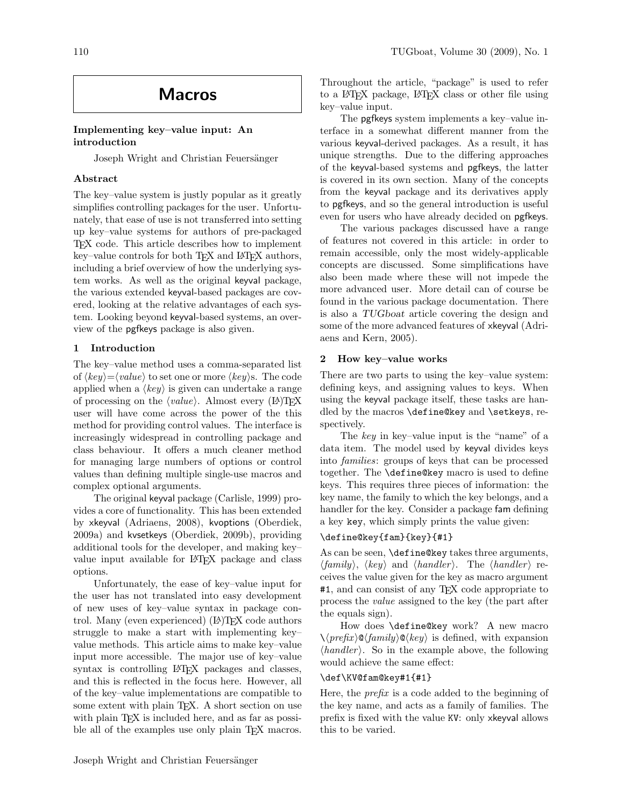# Macros

# Implementing key–value input: An introduction

Joseph Wright and Christian Feuersänger

# Abstract

The key–value system is justly popular as it greatly simplifies controlling packages for the user. Unfortunately, that ease of use is not transferred into setting up key–value systems for authors of pre-packaged TEX code. This article describes how to implement key–value controls for both TEX and IATEX authors, including a brief overview of how the underlying system works. As well as the original keyval package, the various extended keyval-based packages are covered, looking at the relative advantages of each system. Looking beyond keyval-based systems, an overview of the pgfkeys package is also given.

# 1 Introduction

The key–value method uses a comma-separated list of  $\langle key \rangle = \langle value \rangle$  to set one or more  $\langle key \rangle$ s. The code applied when a  $\langle key \rangle$  is given can undertake a range of processing on the  $\langle value \rangle$ . Almost every (LA)T<sub>EX</sub> user will have come across the power of the this method for providing control values. The interface is increasingly widespread in controlling package and class behaviour. It offers a much cleaner method for managing large numbers of options or control values than defining multiple single-use macros and complex optional arguments.

The original keyval package [\(Carlisle, 1999\)](#page-12-0) provides a core of functionality. This has been extended by xkeyval [\(Adriaens, 2008\)](#page-11-0), kvoptions [\(Oberdiek,](#page-12-1) [2009a\)](#page-12-1) and kvsetkeys [\(Oberdiek, 2009b\)](#page-12-2), providing additional tools for the developer, and making key– value input available for LATEX package and class options.

Unfortunately, the ease of key–value input for the user has not translated into easy development of new uses of key–value syntax in package control. Many (even experienced) (IA)TEX code authors struggle to make a start with implementing key– value methods. This article aims to make key–value input more accessible. The major use of key–value syntax is controlling LAT<sub>EX</sub> packages and classes, and this is reflected in the focus here. However, all of the key–value implementations are compatible to some extent with plain TEX. A short section on use with plain T<sub>EX</sub> is included here, and as far as possible all of the examples use only plain T<sub>EX</sub> macros.

Throughout the article, "package" is used to refer to a LATEX package, LATEX class or other file using key–value input.

The pgfkeys system implements a key–value interface in a somewhat different manner from the various keyval-derived packages. As a result, it has unique strengths. Due to the differing approaches of the keyval-based systems and pgfkeys, the latter is covered in its own section. Many of the concepts from the keyval package and its derivatives apply to pgfkeys, and so the general introduction is useful even for users who have already decided on pgfkeys.

The various packages discussed have a range of features not covered in this article: in order to remain accessible, only the most widely-applicable concepts are discussed. Some simplifications have also been made where these will not impede the more advanced user. More detail can of course be found in the various package documentation. There is also a TUGboat article covering the design and some of the more advanced features of xkeyval [\(Adri](#page-11-1)[aens and Kern, 2005\)](#page-11-1).

# <span id="page-0-0"></span>2 How key–value works

There are two parts to using the key–value system: defining keys, and assigning values to keys. When using the keyval package itself, these tasks are handled by the macros **\define@key** and **\setkeys**, respectively.

The key in key–value input is the "name" of a data item. The model used by keyval divides keys into families: groups of keys that can be processed together. The \define@key macro is used to define keys. This requires three pieces of information: the key name, the family to which the key belongs, and a handler for the key. Consider a package fam defining a key key, which simply prints the value given:

# \define@key{fam}{key}{#1}

As can be seen, \define@key takes three arguments,  $\langle family \rangle$ ,  $\langle key \rangle$  and  $\langle handler \rangle$ . The  $\langle handler \rangle$  receives the value given for the key as macro argument #1, and can consist of any TEX code appropriate to process the value assigned to the key (the part after the equals sign).

How does \define@key work? A new macro  $\langle \langle prefix \rangle \mathcal{Q} \langle family \rangle \mathcal{Q} \langle key \rangle$  is defined, with expansion  $\langle \text{handler} \rangle$ . So in the example above, the following would achieve the same effect:

# \def\KV@fam@key#1{#1}

Here, the *prefix* is a code added to the beginning of the key name, and acts as a family of families. The prefix is fixed with the value KV: only xkeyval allows this to be varied.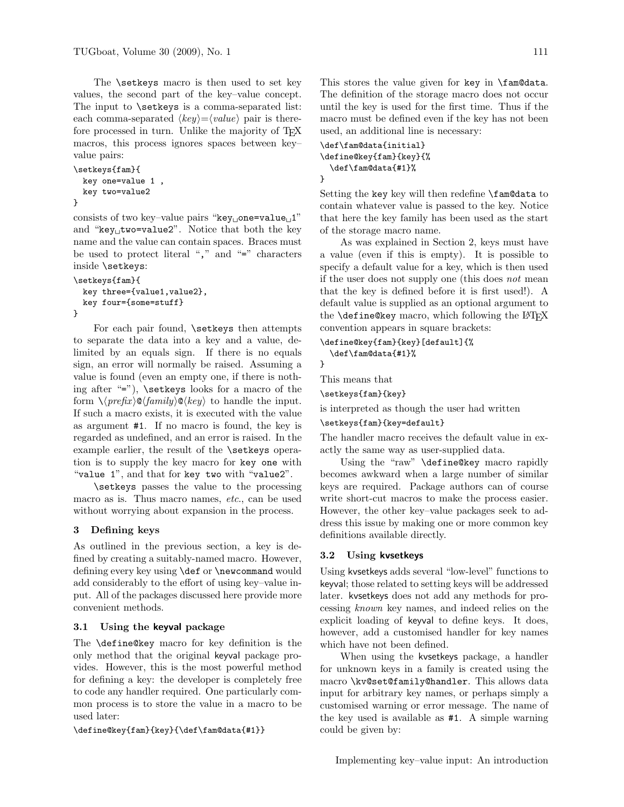The **\setkeys** macro is then used to set key values, the second part of the key–value concept. The input to **\setkeys** is a comma-separated list: each comma-separated  $\langle key \rangle = \langle value \rangle$  pair is therefore processed in turn. Unlike the majority of T<sub>F</sub>X macros, this process ignores spaces between key– value pairs:

```
\setkeys{fam}{
 key one=value 1 ,
 key two=value2
}
```
consists of two key-value pairs "key one=value  $1$ " and "key $_U$ two=value2". Notice that both the key name and the value can contain spaces. Braces must be used to protect literal "," and "=" characters inside \setkeys:

```
\setkeys{fam}{
 key three={value1,value2},
 key four={some=stuff}
}
```
For each pair found, \setkeys then attempts to separate the data into a key and a value, delimited by an equals sign. If there is no equals sign, an error will normally be raised. Assuming a value is found (even an empty one, if there is nothing after "="), \setkeys looks for a macro of the form  $\langle \langle prefix \rangle \otimes \langle family \rangle \otimes \langle key \rangle$  to handle the input. If such a macro exists, it is executed with the value as argument #1. If no macro is found, the key is regarded as undefined, and an error is raised. In the example earlier, the result of the **\setkeys** operation is to supply the key macro for key one with "value 1", and that for key two with "value2".

\setkeys passes the value to the processing macro as is. Thus macro names, etc., can be used without worrying about expansion in the process.

# 3 Defining keys

As outlined in the previous section, a key is defined by creating a suitably-named macro. However, defining every key using \def or \newcommand would add considerably to the effort of using key–value input. All of the packages discussed here provide more convenient methods.

# 3.1 Using the keyval package

The \define@key macro for key definition is the only method that the original keyval package provides. However, this is the most powerful method for defining a key: the developer is completely free to code any handler required. One particularly common process is to store the value in a macro to be used later:

```
\define@key{fam}{key}{\def\fam@data{#1}}
```
This stores the value given for key in \fam@data. The definition of the storage macro does not occur until the key is used for the first time. Thus if the macro must be defined even if the key has not been used, an additional line is necessary:

```
\def\fam@data{initial}
\define@key{fam}{key}{%
  \def\fam@data{#1}%
}
```
Setting the key key will then redefine \fam@data to contain whatever value is passed to the key. Notice that here the key family has been used as the start of the storage macro name.

As was explained in Section [2,](#page-0-0) keys must have a value (even if this is empty). It is possible to specify a default value for a key, which is then used if the user does not supply one (this does not mean that the key is defined before it is first used!). A default value is supplied as an optional argument to the  $\define@key$  macro, which following the  $\text{ATFX}$ convention appears in square brackets:

```
\define@key{fam}{key}[default]{%
  \def\fam@data{#1}%
```
}

This means that

\setkeys{fam}{key}

is interpreted as though the user had written

```
\setkeys{fam}{key=default}
```
The handler macro receives the default value in exactly the same way as user-supplied data.

Using the "raw" \define@key macro rapidly becomes awkward when a large number of similar keys are required. Package authors can of course write short-cut macros to make the process easier. However, the other key–value packages seek to address this issue by making one or more common key definitions available directly.

# 3.2 Using kvsetkeys

Using kvsetkeys adds several "low-level" functions to keyval; those related to setting keys will be addressed later. kvsetkeys does not add any methods for processing known key names, and indeed relies on the explicit loading of keyval to define keys. It does, however, add a customised handler for key names which have not been defined.

When using the kvsetkeys package, a handler for unknown keys in a family is created using the macro \kv@set@family@handler. This allows data input for arbitrary key names, or perhaps simply a customised warning or error message. The name of the key used is available as #1. A simple warning could be given by: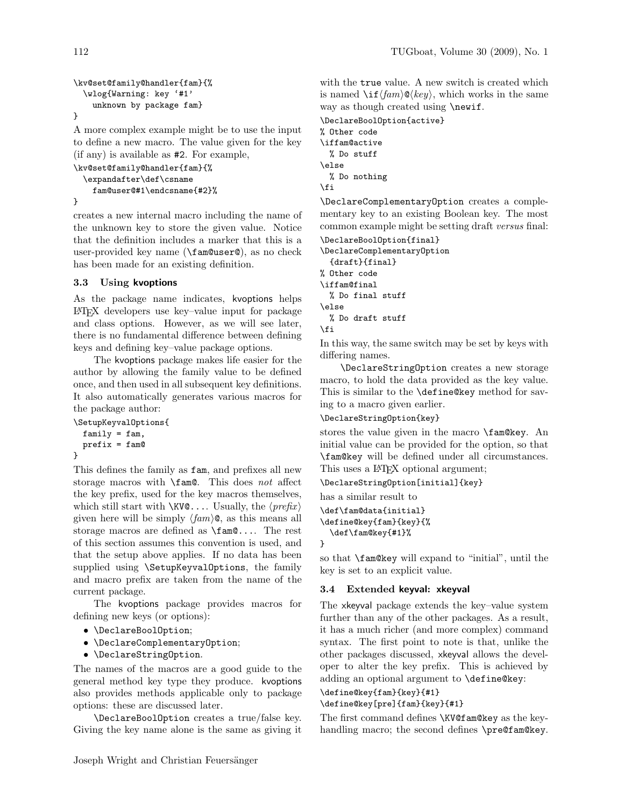```
\kv@set@family@handler{fam}{%
  \wlog{Warning: key '#1'
    unknown by package fam}
}
```
A more complex example might be to use the input to define a new macro. The value given for the key (if any) is available as #2. For example,

```
\kv@set@family@handler{fam}{%
  \expandafter\def\csname
    fam@user@#1\endcsname{#2}%
}
```
creates a new internal macro including the name of the unknown key to store the given value. Notice that the definition includes a marker that this is a user-provided key name (\fam@user@), as no check has been made for an existing definition.

# 3.3 Using kvoptions

As the package name indicates, kvoptions helps LATEX developers use key–value input for package and class options. However, as we will see later, there is no fundamental difference between defining keys and defining key–value package options.

The kvoptions package makes life easier for the author by allowing the family value to be defined once, and then used in all subsequent key definitions. It also automatically generates various macros for the package author:

```
\SetupKeyvalOptions{
 family = fam,prefix = fam@
}
```
This defines the family as fam, and prefixes all new storage macros with \fam@. This does not affect the key prefix, used for the key macros themselves, which still start with  $\XV@...$  Usually, the  $\langle prefix \rangle$ given here will be simply  $\langle \text{fam} \rangle$ **C**, as this means all storage macros are defined as \fam@.... The rest of this section assumes this convention is used, and that the setup above applies. If no data has been supplied using \SetupKeyvalOptions, the family and macro prefix are taken from the name of the current package.

The kvoptions package provides macros for defining new keys (or options):

- \DeclareBoolOption;
- \DeclareComplementaryOption;
- \DeclareStringOption.

The names of the macros are a good guide to the general method key type they produce. kvoptions also provides methods applicable only to package options: these are discussed later.

\DeclareBoolOption creates a true/false key. Giving the key name alone is the same as giving it

with the true value. A new switch is created which is named  $\iint \langle \tan \rangle \mathbf{Q} \langle \ker \rangle$ , which works in the same way as though created using **\newif.** 

\DeclareBoolOption{active} % Other code \iffam@active % Do stuff \else % Do nothing \fi

\DeclareComplementaryOption creates a complementary key to an existing Boolean key. The most common example might be setting draft versus final:

\DeclareBoolOption{final}

\DeclareComplementaryOption {draft}{final} % Other code \iffam@final % Do final stuff \else % Do draft stuff \fi

In this way, the same switch may be set by keys with differing names.

\DeclareStringOption creates a new storage macro, to hold the data provided as the key value. This is similar to the **\define@key** method for saving to a macro given earlier.

\DeclareStringOption{key}

stores the value given in the macro **\fam@key**. An initial value can be provided for the option, so that \fam@key will be defined under all circumstances. This uses a IAT<sub>E</sub>X optional argument;

\DeclareStringOption[initial]{key}

has a similar result to

```
\def\fam@data{initial}
\define@key{fam}{key}{%
  \def\fam@key{#1}%
}
```
so that \fam@key will expand to "initial", until the key is set to an explicit value.

# 3.4 Extended keyval: xkeyval

The xkeyval package extends the key–value system further than any of the other packages. As a result, it has a much richer (and more complex) command syntax. The first point to note is that, unlike the other packages discussed, xkeyval allows the developer to alter the key prefix. This is achieved by adding an optional argument to \define@key:

# \define@key{fam}{key}{#1} \define@key[pre]{fam}{key}{#1}

The first command defines \KV@fam@key as the keyhandling macro; the second defines \pre@fam@key.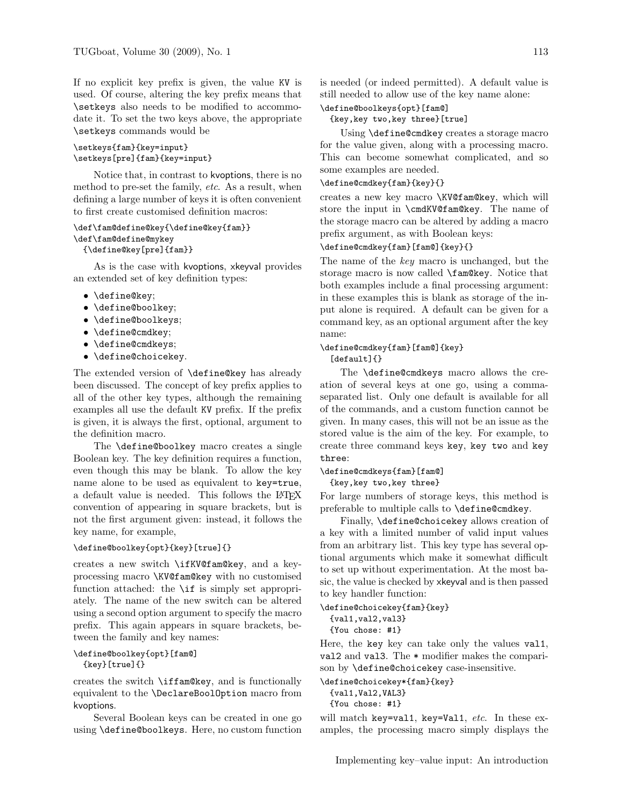If no explicit key prefix is given, the value KV is used. Of course, altering the key prefix means that \setkeys also needs to be modified to accommodate it. To set the two keys above, the appropriate \setkeys commands would be

### \setkeys{fam}{key=input} \setkeys[pre]{fam}{key=input}

Notice that, in contrast to kvoptions, there is no method to pre-set the family, etc. As a result, when defining a large number of keys it is often convenient to first create customised definition macros:

```
\def\fam@define@key{\define@key{fam}}
\def\fam@define@mykey
```
{\define@key[pre]{fam}}

As is the case with kvoptions, xkeyval provides an extended set of key definition types:

- \define@key;
- \define@boolkey;
- \define@boolkeys;
- \define@cmdkey;
- \define@cmdkeys;
- \define@choicekey.

The extended version of \define@key has already been discussed. The concept of key prefix applies to all of the other key types, although the remaining examples all use the default KV prefix. If the prefix is given, it is always the first, optional, argument to the definition macro.

The **\define@boolkey** macro creates a single Boolean key. The key definition requires a function, even though this may be blank. To allow the key name alone to be used as equivalent to key=true, a default value is needed. This follows the LAT<sub>EX</sub> convention of appearing in square brackets, but is not the first argument given: instead, it follows the key name, for example,

#### \define@boolkey{opt}{key}[true]{}

creates a new switch \ifKV@fam@key, and a keyprocessing macro \KV@fam@key with no customised function attached: the \if is simply set appropriately. The name of the new switch can be altered using a second option argument to specify the macro prefix. This again appears in square brackets, between the family and key names:

# \define@boolkey{opt}[fam@] {key}[true]{}

creates the switch \iffam@key, and is functionally equivalent to the \DeclareBoolOption macro from kvoptions.

Several Boolean keys can be created in one go using \define@boolkeys. Here, no custom function is needed (or indeed permitted). A default value is still needed to allow use of the key name alone:

# \define@boolkeys{opt}[fam@]

{key,key two,key three}[true]

Using \define@cmdkey creates a storage macro for the value given, along with a processing macro. This can become somewhat complicated, and so some examples are needed.

#### \define@cmdkey{fam}{key}{}

creates a new key macro \KV@fam@key, which will store the input in \cmdKV@fam@key. The name of the storage macro can be altered by adding a macro prefix argument, as with Boolean keys:

# \define@cmdkey{fam}[fam@]{key}{}

The name of the key macro is unchanged, but the storage macro is now called \fam@key. Notice that both examples include a final processing argument: in these examples this is blank as storage of the input alone is required. A default can be given for a command key, as an optional argument after the key name:

# \define@cmdkey{fam}[fam@]{key} [default]{}

The \define@cmdkeys macro allows the creation of several keys at one go, using a commaseparated list. Only one default is available for all of the commands, and a custom function cannot be given. In many cases, this will not be an issue as the stored value is the aim of the key. For example, to create three command keys key, key two and key three:

\define@cmdkeys{fam}[fam@] {key,key two,key three}

For large numbers of storage keys, this method is preferable to multiple calls to \define@cmdkey.

Finally, \define@choicekey allows creation of a key with a limited number of valid input values from an arbitrary list. This key type has several optional arguments which make it somewhat difficult to set up without experimentation. At the most basic, the value is checked by xkeyval and is then passed to key handler function:

```
\define@choicekey{fam}{key}
  {val1,val2,val3}
  {You chose: #1}
```
Here, the key key can take only the values val1, val2 and val3. The \* modifier makes the comparison by \define@choicekey case-insensitive.

```
\define@choicekey*{fam}{key}
 {val1,Val2,VAL3}
```

```
{You chose: #1}
```
will match key=val1, key=Val1,  $etc.$  In these examples, the processing macro simply displays the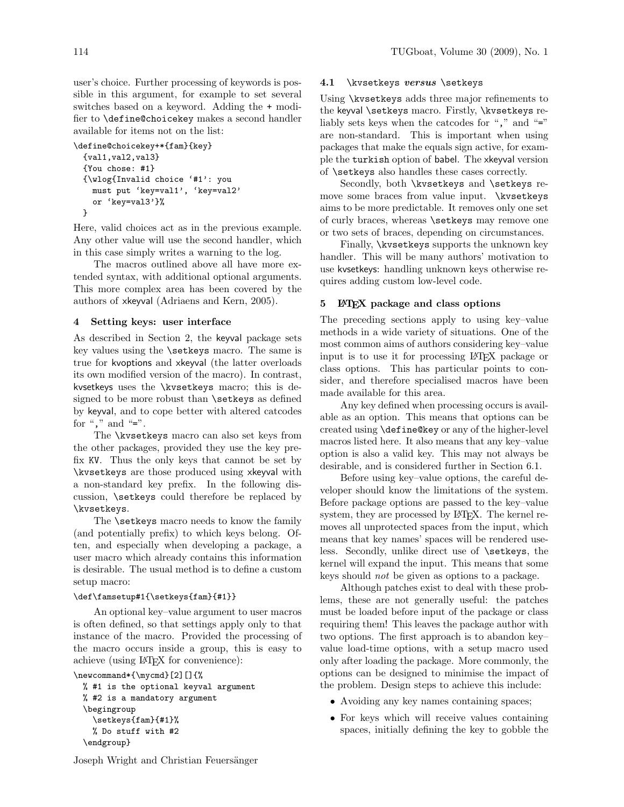user's choice. Further processing of keywords is possible in this argument, for example to set several switches based on a keyword. Adding the + modifier to \define@choicekey makes a second handler available for items not on the list:

```
\define@choicekey+*{fam}{key}
 {val1,val2,val3}
 {You chose: #1}
 {\wlog{Invalid choice '#1': you
   must put 'key=val1', 'key=val2'
   or 'key=val3'}%
 }
```
Here, valid choices act as in the previous example. Any other value will use the second handler, which in this case simply writes a warning to the log.

The macros outlined above all have more extended syntax, with additional optional arguments. This more complex area has been covered by the authors of xkeyval [\(Adriaens and Kern, 2005\)](#page-11-1).

#### 4 Setting keys: user interface

As described in Section [2,](#page-0-0) the keyval package sets key values using the \setkeys macro. The same is true for kvoptions and xkeyval (the latter overloads its own modified version of the macro). In contrast, kvsetkeys uses the \kvsetkeys macro; this is designed to be more robust than **\setkeys** as defined by keyval, and to cope better with altered catcodes for "," and "=".

The \kvsetkeys macro can also set keys from the other packages, provided they use the key prefix KV. Thus the only keys that cannot be set by \kvsetkeys are those produced using xkeyval with a non-standard key prefix. In the following discussion, \setkeys could therefore be replaced by \kvsetkeys.

The **\setkeys** macro needs to know the family (and potentially prefix) to which keys belong. Often, and especially when developing a package, a user macro which already contains this information is desirable. The usual method is to define a custom setup macro:

#### \def\famsetup#1{\setkeys{fam}{#1}}

An optional key–value argument to user macros is often defined, so that settings apply only to that instance of the macro. Provided the processing of the macro occurs inside a group, this is easy to achieve (using LATEX for convenience):

```
\newcommand*{\mycmd}[2][]{%
 % #1 is the optional keyval argument
 % #2 is a mandatory argument
  \begingroup
    \setkeys{fam}{#1}%
   % Do stuff with #2
  \endgroup}
```
#### 4.1 \kvsetkeys versus \setkeys

Using \kvsetkeys adds three major refinements to the keyval **\setkeys** macro. Firstly, **\kvsetkeys** reliably sets keys when the catcodes for "," and "=" are non-standard. This is important when using packages that make the equals sign active, for example the turkish option of babel. The xkeyval version of \setkeys also handles these cases correctly.

Secondly, both \kvsetkeys and \setkeys remove some braces from value input. \kvsetkeys aims to be more predictable. It removes only one set of curly braces, whereas \setkeys may remove one or two sets of braces, depending on circumstances.

Finally, \kvsetkeys supports the unknown key handler. This will be many authors' motivation to use kvsetkeys: handling unknown keys otherwise requires adding custom low-level code.

### 5 LAT<sub>F</sub>X package and class options

The preceding sections apply to using key–value methods in a wide variety of situations. One of the most common aims of authors considering key–value input is to use it for processing LATEX package or class options. This has particular points to consider, and therefore specialised macros have been made available for this area.

Any key defined when processing occurs is available as an option. This means that options can be created using \define@key or any of the higher-level macros listed here. It also means that any key–value option is also a valid key. This may not always be desirable, and is considered further in Section [6.1.](#page-5-0)

Before using key–value options, the careful developer should know the limitations of the system. Before package options are passed to the key–value system, they are processed by L<sup>AT</sup>EX. The kernel removes all unprotected spaces from the input, which means that key names' spaces will be rendered useless. Secondly, unlike direct use of \setkeys, the kernel will expand the input. This means that some keys should not be given as options to a package.

Although patches exist to deal with these problems, these are not generally useful: the patches must be loaded before input of the package or class requiring them! This leaves the package author with two options. The first approach is to abandon key– value load-time options, with a setup macro used only after loading the package. More commonly, the options can be designed to minimise the impact of the problem. Design steps to achieve this include:

- Avoiding any key names containing spaces;
- For keys which will receive values containing spaces, initially defining the key to gobble the

Joseph Wright and Christian Feuersänger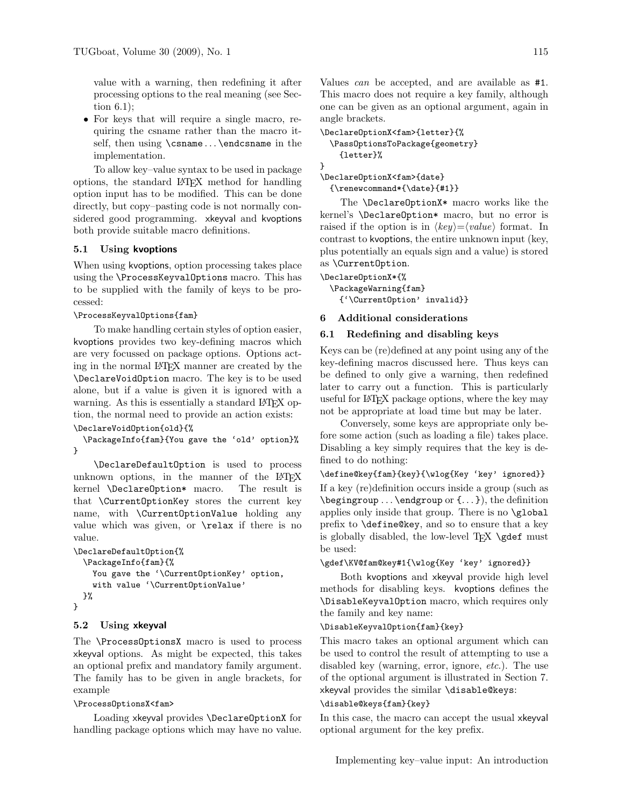value with a warning, then redefining it after processing options to the real meaning (see Section [6.1\)](#page-5-0);

• For keys that will require a single macro, requiring the csname rather than the macro itself, then using \csname ... \endcsname in the implementation.

To allow key–value syntax to be used in package options, the standard LATEX method for handling option input has to be modified. This can be done directly, but copy–pasting code is not normally considered good programming. xkeyval and kvoptions both provide suitable macro definitions.

# 5.1 Using kvoptions

When using kvoptions, option processing takes place using the \ProcessKeyvalOptions macro. This has to be supplied with the family of keys to be processed:

# \ProcessKeyvalOptions{fam}

To make handling certain styles of option easier, kvoptions provides two key-defining macros which are very focussed on package options. Options acting in the normal LATEX manner are created by the \DeclareVoidOption macro. The key is to be used alone, but if a value is given it is ignored with a warning. As this is essentially a standard LAT<sub>EX</sub> option, the normal need to provide an action exists:

\DeclareVoidOption{old}{%

\PackageInfo{fam}{You gave the 'old' option}% }

\DeclareDefaultOption is used to process unknown options, in the manner of the  $\text{LTEX}$  kernel **\Declare0ption\*** macro. The result is kernel \DeclareOption\* macro. that \CurrentOptionKey stores the current key name, with \CurrentOptionValue holding any value which was given, or \relax if there is no value.

```
\DeclareDefaultOption{%
  \PackageInfo{fam}{%
    You gave the '\CurrentOptionKey' option,
    with value '\CurrentOptionValue'
 }%
}
```
# 5.2 Using xkeyval

The \ProcessOptionsX macro is used to process xkeyval options. As might be expected, this takes an optional prefix and mandatory family argument. The family has to be given in angle brackets, for example

#### \ProcessOptionsX<fam>

Loading xkeyval provides \DeclareOptionX for handling package options which may have no value.

Values can be accepted, and are available as #1. This macro does not require a key family, although one can be given as an optional argument, again in angle brackets.

```
\DeclareOptionX<fam>{letter}{%
  \PassOptionsToPackage{geometry}
    {letter}%
}
```
\DeclareOptionX<fam>{date} {\renewcommand\*{\date}{#1}}

The \DeclareOptionX\* macro works like the kernel's \DeclareOption\* macro, but no error is raised if the option is in  $\langle key \rangle = \langle value \rangle$  format. In contrast to kvoptions, the entire unknown input (key, plus potentially an equals sign and a value) is stored as \CurrentOption.

```
\DeclareOptionX*{%
```
\PackageWarning{fam} {'\CurrentOption' invalid}}

# 6 Additional considerations

# <span id="page-5-0"></span>6.1 Redefining and disabling keys

Keys can be (re)defined at any point using any of the key-defining macros discussed here. Thus keys can be defined to only give a warning, then redefined later to carry out a function. This is particularly useful for LATEX package options, where the key may not be appropriate at load time but may be later.

Conversely, some keys are appropriate only before some action (such as loading a file) takes place. Disabling a key simply requires that the key is defined to do nothing:

\define@key{fam}{key}{\wlog{Key 'key' ignored}}

If a key (re)definition occurs inside a group (such as  $\begin{pmatrix} \begin{array}{c} \begin{array}{c} \end{array} \end{pmatrix}$ , the definition applies only inside that group. There is no \global prefix to \define@key, and so to ensure that a key is globally disabled, the low-level TEX \gdef must be used:

```
\gdef\KV@fam@key#1{\wlog{Key 'key' ignored}}
```
Both kvoptions and xkeyval provide high level methods for disabling keys. kvoptions defines the \DisableKeyvalOption macro, which requires only the family and key name:

# \DisableKeyvalOption{fam}{key}

This macro takes an optional argument which can be used to control the result of attempting to use a disabled key (warning, error, ignore, etc.). The use of the optional argument is illustrated in Section [7.](#page-6-0) xkeyval provides the similar \disable@keys:

#### \disable@keys{fam}{key}

In this case, the macro can accept the usual xkeyval optional argument for the key prefix.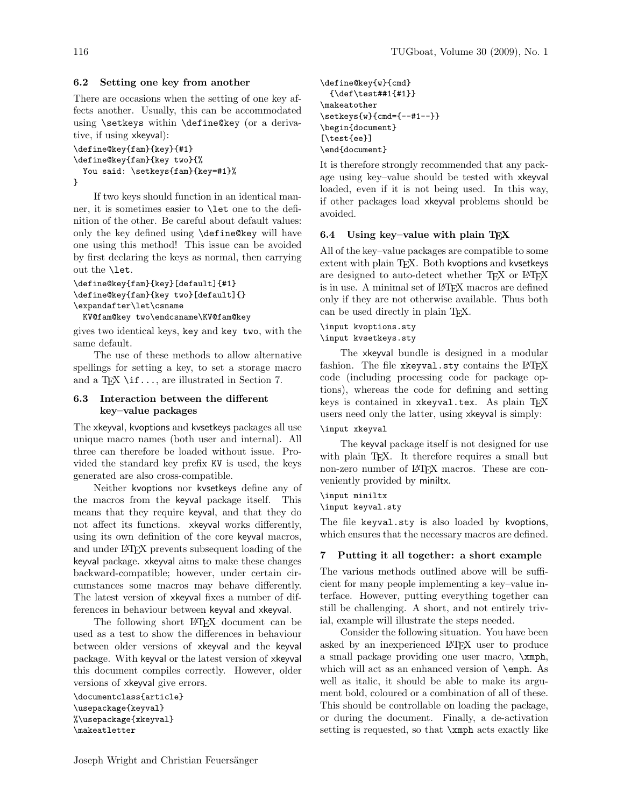#### 6.2 Setting one key from another

There are occasions when the setting of one key affects another. Usually, this can be accommodated using \setkeys within \define@key (or a derivative, if using xkeyval):

```
\define@key{fam}{key}{#1}
\define@key{fam}{key two}{%
 You said: \setkeys{fam}{key=#1}%
}
```
If two keys should function in an identical manner, it is sometimes easier to \let one to the definition of the other. Be careful about default values: only the key defined using \define@key will have one using this method! This issue can be avoided by first declaring the keys as normal, then carrying out the \let.

```
\define@key{fam}{key}[default]{#1}
\define@key{fam}{key two}[default]{}
\expandafter\let\csname
```
KV@fam@key two\endcsname\KV@fam@key

gives two identical keys, key and key two, with the same default.

The use of these methods to allow alternative spellings for setting a key, to set a storage macro and a T<sub>E</sub>X \if..., are illustrated in Section [7.](#page-6-0)

# 6.3 Interaction between the different key–value packages

The xkeyval, kvoptions and kvsetkeys packages all use unique macro names (both user and internal). All three can therefore be loaded without issue. Provided the standard key prefix KV is used, the keys generated are also cross-compatible.

Neither kvoptions nor kvsetkeys define any of the macros from the keyval package itself. This means that they require keyval, and that they do not affect its functions. xkeyval works differently, using its own definition of the core keyval macros, and under LATEX prevents subsequent loading of the keyval package. xkeyval aims to make these changes backward-compatible; however, under certain circumstances some macros may behave differently. The latest version of xkeyval fixes a number of differences in behaviour between keyval and xkeyval.

The following short LAT<sub>EX</sub> document can be used as a test to show the differences in behaviour between older versions of xkeyval and the keyval package. With keyval or the latest version of xkeyval this document compiles correctly. However, older versions of xkeyval give errors.

```
\documentclass{article}
\usepackage{keyval}
%\usepackage{xkeyval}
\makeatletter
```

```
\define@key{w}{cmd}
  {\def\test##1{#1}}
\makeatother
\setkeys{w}{cmd={--#1--}}
\begin{document}
[\test{ee}]
\end{document}
```
It is therefore strongly recommended that any package using key–value should be tested with xkeyval loaded, even if it is not being used. In this way, if other packages load xkeyval problems should be avoided.

# 6.4 Using key–value with plain T<sub>E</sub>X

All of the key–value packages are compatible to some extent with plain TFX. Both kvoptions and kvsetkeys are designed to auto-detect whether TFX or LATFX is in use. A minimal set of LATEX macros are defined only if they are not otherwise available. Thus both can be used directly in plain TEX.

### \input kvoptions.sty

### \input kvsetkeys.sty

The xkeyval bundle is designed in a modular fashion. The file xkeyval.sty contains the LATEX code (including processing code for package options), whereas the code for defining and setting keys is contained in xkeyval.tex. As plain TFX users need only the latter, using xkeyval is simply:

#### \input xkeyval

The keyval package itself is not designed for use with plain TEX. It therefore requires a small but non-zero number of LAT<sub>EX</sub> macros. These are conveniently provided by miniltx.

# \input miniltx

\input keyval.sty

The file keyval.sty is also loaded by kvoptions, which ensures that the necessary macros are defined.

### <span id="page-6-0"></span>7 Putting it all together: a short example

The various methods outlined above will be sufficient for many people implementing a key–value interface. However, putting everything together can still be challenging. A short, and not entirely trivial, example will illustrate the steps needed.

Consider the following situation. You have been asked by an inexperienced LATEX user to produce a small package providing one user macro, \xmph, which will act as an enhanced version of \emph. As well as italic, it should be able to make its argument bold, coloured or a combination of all of these. This should be controllable on loading the package, or during the document. Finally, a de-activation setting is requested, so that \xmph acts exactly like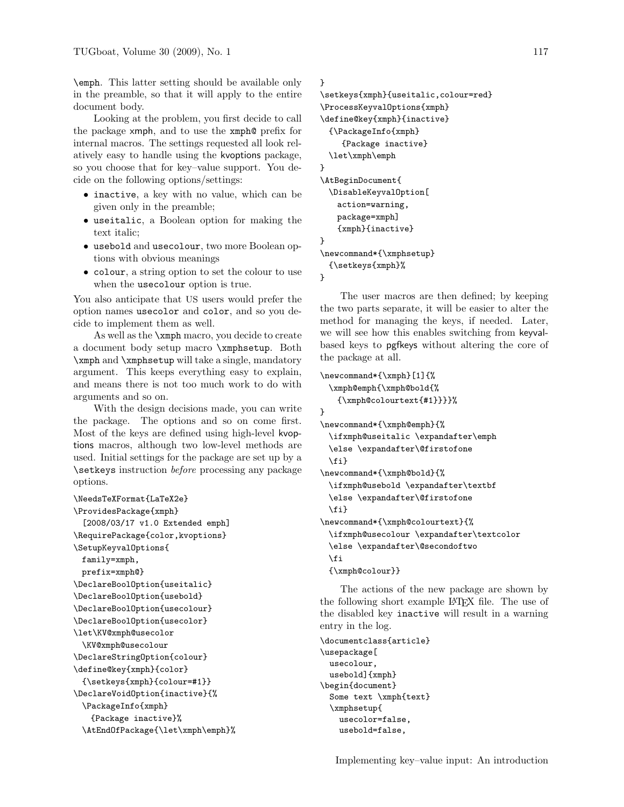\emph. This latter setting should be available only in the preamble, so that it will apply to the entire document body.

Looking at the problem, you first decide to call the package xmph, and to use the xmph@ prefix for internal macros. The settings requested all look relatively easy to handle using the kvoptions package, so you choose that for key–value support. You decide on the following options/settings:

- inactive, a key with no value, which can be given only in the preamble;
- useitalic, a Boolean option for making the text italic;
- usebold and usecolour, two more Boolean options with obvious meanings
- colour, a string option to set the colour to use when the usecolour option is true.

You also anticipate that US users would prefer the option names usecolor and color, and so you decide to implement them as well.

As well as the \xmph macro, you decide to create a document body setup macro \xmphsetup. Both \xmph and \xmphsetup will take a single, mandatory argument. This keeps everything easy to explain, and means there is not too much work to do with arguments and so on.

With the design decisions made, you can write the package. The options and so on come first. Most of the keys are defined using high-level kvoptions macros, although two low-level methods are used. Initial settings for the package are set up by a \setkeys instruction before processing any package options.

```
\NeedsTeXFormat{LaTeX2e}
\ProvidesPackage{xmph}
  [2008/03/17 v1.0 Extended emph]
\RequirePackage{color,kvoptions}
\SetupKeyvalOptions{
 family=xmph,
 prefix=xmph@}
\DeclareBoolOption{useitalic}
\DeclareBoolOption{usebold}
\DeclareBoolOption{usecolour}
\DeclareBoolOption{usecolor}
\let\KV@xmph@usecolor
 \KV@xmph@usecolour
\DeclareStringOption{colour}
\define@key{xmph}{color}
 {\setkeys{xmph}{colour=#1}}
\DeclareVoidOption{inactive}{%
 \PackageInfo{xmph}
   {Package inactive}%
 \AtEndOfPackage{\let\xmph\emph}%
```
# }

```
\setkeys{xmph}{useitalic,colour=red}
\ProcessKeyvalOptions{xmph}
\define@key{xmph}{inactive}
  {\PackageInfo{xmph}
    {Package inactive}
  \let\xmph\emph
}
\AtBeginDocument{
  \DisableKeyvalOption[
   action=warning,
   package=xmph]
   {xmph}{inactive}
}
\newcommand*{\xmphsetup}
  {\setkeys{xmph}%
```
# }

The user macros are then defined; by keeping the two parts separate, it will be easier to alter the method for managing the keys, if needed. Later, we will see how this enables switching from keyvalbased keys to pgfkeys without altering the core of the package at all.

```
\newcommand*{\xmph}[1]{%
  \xmph@emph{\xmph@bold{%
   {\xmph@colourtext{#1}}}}%
}
\newcommand*{\xmph@emph}{%
  \ifxmph@useitalic \expandafter\emph
  \else \expandafter\@firstofone
 \setminusfi}
\newcommand*{\xmph@bold}{%
  \ifxmph@usebold \expandafter\textbf
  \else \expandafter\@firstofone
  \{f_i\}\newcommand*{\xmph@colourtext}{%
  \ifxmph@usecolour \expandafter\textcolor
  \else \expandafter\@secondoftwo
  \fi
  {\xmph@colour}}
```
The actions of the new package are shown by the following short example LATEX file. The use of the disabled key inactive will result in a warning entry in the log.

```
\documentclass{article}
\usepackage[
 usecolour,
 usebold]{xmph}
\begin{document}
 Some text \xmph{text}
  \xmphsetup{
    usecolor=false,
    usebold=false,
```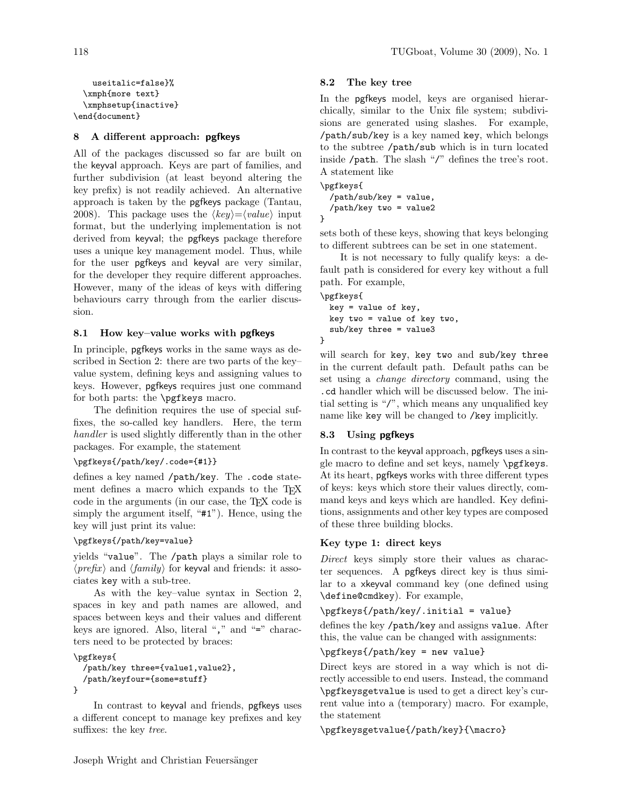```
useitalic=false}%
  \xmph{more text}
 \xmphsetup{inactive}
\end{document}
```
# 8 A different approach: pgfkeys

All of the packages discussed so far are built on the keyval approach. Keys are part of families, and further subdivision (at least beyond altering the key prefix) is not readily achieved. An alternative approach is taken by the pgfkeys package [\(Tantau,](#page-12-3) [2008\)](#page-12-3). This package uses the  $\langle key \rangle = \langle value \rangle$  input format, but the underlying implementation is not derived from keyval; the pgfkeys package therefore uses a unique key management model. Thus, while for the user pgfkeys and keyval are very similar, for the developer they require different approaches. However, many of the ideas of keys with differing behaviours carry through from the earlier discussion.

# 8.1 How key–value works with pgfkeys

In principle, pgfkeys works in the same ways as described in Section [2:](#page-0-0) there are two parts of the key– value system, defining keys and assigning values to keys. However, pgfkeys requires just one command for both parts: the \pgfkeys macro.

The definition requires the use of special suffixes, the so-called key handlers. Here, the term handler is used slightly differently than in the other packages. For example, the statement

# \pgfkeys{/path/key/.code={#1}}

defines a key named /path/key. The .code statement defines a macro which expands to the T<sub>E</sub>X code in the arguments (in our case, the TEX code is simply the argument itself, "#1"). Hence, using the key will just print its value:

# \pgfkeys{/path/key=value}

yields "value". The /path plays a similar role to  $\langle prefix \rangle$  and  $\langle family \rangle$  for keyval and friends: it associates key with a sub-tree.

As with the key–value syntax in Section [2,](#page-0-0) spaces in key and path names are allowed, and spaces between keys and their values and different keys are ignored. Also, literal "," and "=" characters need to be protected by braces:

# \pgfkeys{

```
/path/key three={value1,value2},
  /path/keyfour={some=stuff}
}
```
In contrast to keyval and friends, pgfkeys uses a different concept to manage key prefixes and key suffixes: the key tree.

# 8.2 The key tree

In the pgfkeys model, keys are organised hierarchically, similar to the Unix file system; subdivisions are generated using slashes. For example, /path/sub/key is a key named key, which belongs to the subtree /path/sub which is in turn located inside /path. The slash "/" defines the tree's root. A statement like

\pgfkeys{ /path/sub/key = value, /path/key two = value2 }

sets both of these keys, showing that keys belonging to different subtrees can be set in one statement.

It is not necessary to fully qualify keys: a default path is considered for every key without a full path. For example,

```
\pgfkeys{
 key = value of key,
 key two = value of key two,
 sub/key three = value3
}
```
will search for key, key two and sub/key three in the current default path. Default paths can be set using a *change directory* command, using the .cd handler which will be discussed below. The initial setting is "/", which means any unqualified key name like key will be changed to /key implicitly.

# 8.3 Using pgfkeys

In contrast to the keyval approach, pgfkeys uses a single macro to define and set keys, namely \pgfkeys. At its heart, pgfkeys works with three different types of keys: keys which store their values directly, command keys and keys which are handled. Key definitions, assignments and other key types are composed of these three building blocks.

# Key type 1: direct keys

Direct keys simply store their values as character sequences. A pgfkeys direct key is thus similar to a xkeyval command key (one defined using \define@cmdkey). For example,

\pgfkeys{/path/key/.initial = value}

defines the key /path/key and assigns value. After this, the value can be changed with assignments:

\pgfkeys{/path/key = new value}

Direct keys are stored in a way which is not directly accessible to end users. Instead, the command \pgfkeysgetvalue is used to get a direct key's current value into a (temporary) macro. For example, the statement

\pgfkeysgetvalue{/path/key}{\macro}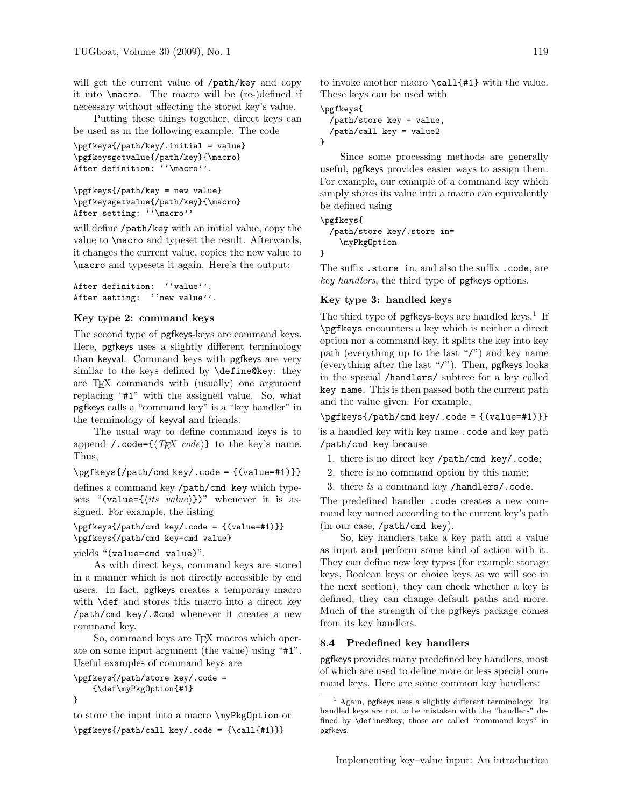will get the current value of /path/key and copy it into \macro. The macro will be (re-)defined if necessary without affecting the stored key's value.

Putting these things together, direct keys can be used as in the following example. The code

```
\pgfkeys{/path/key/.initial = value}
\pgfkeysgetvalue{/path/key}{\macro}
After definition: ''\macro''.
```

```
\pgfkeys{/path/key = new value}
\pgfkeysgetvalue{/path/key}{\macro}
After setting: ''\macro''
```
will define /path/key with an initial value, copy the value to \macro and typeset the result. Afterwards, it changes the current value, copies the new value to \macro and typesets it again. Here's the output:

```
After definition: ''value''.
After setting: ''new value''.
```
# Key type 2: command keys

The second type of pgfkeys-keys are command keys. Here, pgfkeys uses a slightly different terminology than keyval. Command keys with pgfkeys are very similar to the keys defined by \define@key: they are TEX commands with (usually) one argument replacing "#1" with the assigned value. So, what pgfkeys calls a "command key" is a "key handler" in the terminology of keyval and friends.

The usual way to define command keys is to append /.code= $\{\langle T \not\!\! E X \text{ code}\rangle\}$  to the key's name. Thus,

\pgfkeys{/path/cmd key/.code = {(value=#1)}}

defines a command key /path/cmd key which typesets "(value= $\{\langle its \ value \rangle\}$ )" whenever it is assigned. For example, the listing

# \pgfkeys{/path/cmd key/.code = {(value=#1)}} \pgfkeys{/path/cmd key=cmd value}

yields "(value=cmd value)".

As with direct keys, command keys are stored in a manner which is not directly accessible by end users. In fact, pgfkeys creates a temporary macro with **\def** and stores this macro into a direct key /path/cmd key/.@cmd whenever it creates a new command key.

So, command keys are TEX macros which operate on some input argument (the value) using "#1". Useful examples of command keys are

```
\pgfkeys{/path/store key/.code =
    {\def\myPkgOption{#1}
}
```
to store the input into a macro \myPkgOption or \pgfkeys{/path/call key/.code = {\call{#1}}}

to invoke another macro \call{#1} with the value. These keys can be used with

\pgfkeys{

```
/path/store key = value,
  /path/call key = value2
}
```
Since some processing methods are generally useful, pgfkeys provides easier ways to assign them. For example, our example of a command key which simply stores its value into a macro can equivalently be defined using

\pgfkeys{

```
/path/store key/.store in=
 \myPkgOption
```
}

The suffix .store in, and also the suffix .code, are key handlers, the third type of pgfkeys options.

# Key type 3: handled keys

The third type of **pgfkeys**-keys are handled keys.<sup>[1](#page-9-0)</sup> If \pgfkeys encounters a key which is neither a direct option nor a command key, it splits the key into key path (everything up to the last "/") and key name (everything after the last "/"). Then, pgfkeys looks in the special /handlers/ subtree for a key called key name. This is then passed both the current path and the value given. For example,

 $\pgfkeys\/path/cmd$  key/.code = {(value=#1)}}

is a handled key with key name .code and key path /path/cmd key because

- 1. there is no direct key /path/cmd key/.code;
- 2. there is no command option by this name;
- 3. there is a command key /handlers/.code.

The predefined handler .code creates a new command key named according to the current key's path (in our case, /path/cmd key).

So, key handlers take a key path and a value as input and perform some kind of action with it. They can define new key types (for example storage keys, Boolean keys or choice keys as we will see in the next section), they can check whether a key is defined, they can change default paths and more. Much of the strength of the pgfkeys package comes from its key handlers.

# 8.4 Predefined key handlers

pgfkeys provides many predefined key handlers, most of which are used to define more or less special command keys. Here are some common key handlers:

<span id="page-9-0"></span> $^{\rm 1}$  Again,  $\sf pgf}$  uses a slightly different terminology. Its handled keys are not to be mistaken with the "handlers" defined by \define@key; those are called "command keys" in pgfkeys.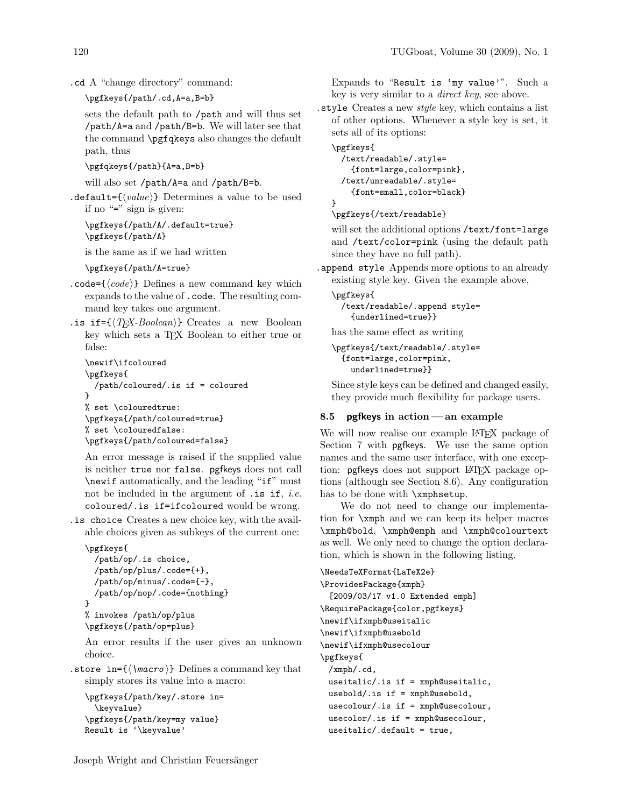```
.cd A "change directory" command:
```
\pgfkeys{/path/.cd,A=a,B=b}

sets the default path to /path and will thus set /path/A=a and /path/B=b. We will later see that the command \pgfqkeys also changes the default path, thus

\pgfqkeys{/path}{A=a,B=b}

will also set /path/A=a and /path/B=b.

.default= $\{\langle value \rangle\}$  Determines a value to be used if no "=" sign is given:

\pgfkeys{/path/A/.default=true} \pgfkeys{/path/A}

is the same as if we had written

\pgfkeys{/path/A=true}

- .code= $\{\langle code \rangle\}$  Defines a new command key which expands to the value of .code. The resulting command key takes one argument.
- . is if =  $\{(TrX-Boolean)\}$  Creates a new Boolean key which sets a TFX Boolean to either true or false:

```
\newif\ifcoloured
\pgfkeys{
 /path/coloured/.is if = coloured
}
% set \colouredtrue:
\pgfkeys{/path/coloured=true}
% set \colouredfalse:
\pgfkeys{/path/coloured=false}
```
An error message is raised if the supplied value is neither true nor false. pgfkeys does not call \newif automatically, and the leading "if" must not be included in the argument of  $\cdot$  is if, *i.e.* coloured/.is if=ifcoloured would be wrong.

.is choice Creates a new choice key, with the available choices given as subkeys of the current one:

```
\pgfkeys{
  /path/op/.is choice,
  /path/op/plus/.code={+},
  /path/op/minus/.code={-},
  /path/op/nop/.code={nothing}
}
% invokes /path/op/plus
\pgfkeys{/path/op=plus}
```
An error results if the user gives an unknown choice.

. store in= $\{\langle \text{macro} \rangle\}$  Defines a command key that simply stores its value into a macro:

```
\pgfkeys{/path/key/.store in=
  \keyvalue}
\pgfkeys{/path/key=my value}
Result is '\keyvalue'
```
Expands to "Result is 'my value'". Such a key is very similar to a direct key, see above.

.style Creates a new style key, which contains a list of other options. Whenever a style key is set, it sets all of its options:

```
\pgfkeys{
  /text/readable/.style=
    {font=large,color=pink},
  /text/unreadable/.style=
    {font=small,color=black}
}
```
# \pgfkeys{/text/readable}

will set the additional options /text/font=large and /text/color=pink (using the default path since they have no full path).

.append style Appends more options to an already existing style key. Given the example above,

\pgfkeys{ /text/readable/.append style= {underlined=true}}

has the same effect as writing

```
\pgfkeys{/text/readable/.style=
 {font=large,color=pink,
   underlined=true}}
```
Since style keys can be defined and changed easily, they provide much flexibility for package users.

# 8.5 **pgfkeys** in action — an example

We will now realise our example LAT<sub>EX</sub> package of Section [7](#page-6-0) with pgfkeys. We use the same option names and the same user interface, with one exception: pgfkeys does not support LAT<sub>EX</sub> package options (although see Section [8.6\)](#page-11-2). Any configuration has to be done with \xmphsetup.

We do not need to change our implementation for \xmph and we can keep its helper macros \xmph@bold, \xmph@emph and \xmph@colourtext as well. We only need to change the option declaration, which is shown in the following listing.

```
\NeedsTeXFormat{LaTeX2e}
\ProvidesPackage{xmph}
  [2009/03/17 v1.0 Extended emph]
\RequirePackage{color,pgfkeys}
\newif\ifxmph@useitalic
\newif\ifxmph@usebold
\newif\ifxmph@usecolour
\pgfkeys{
 /xmph/.cd,
 useitalic/.is if = xmph@useitalic,
 usebold/.is if = xmph@usebold,
 usecolour/.is if = xmph@usecolour,
 usecolor/.is if = xmph@usecolour,
 useitalic/.default = true,
```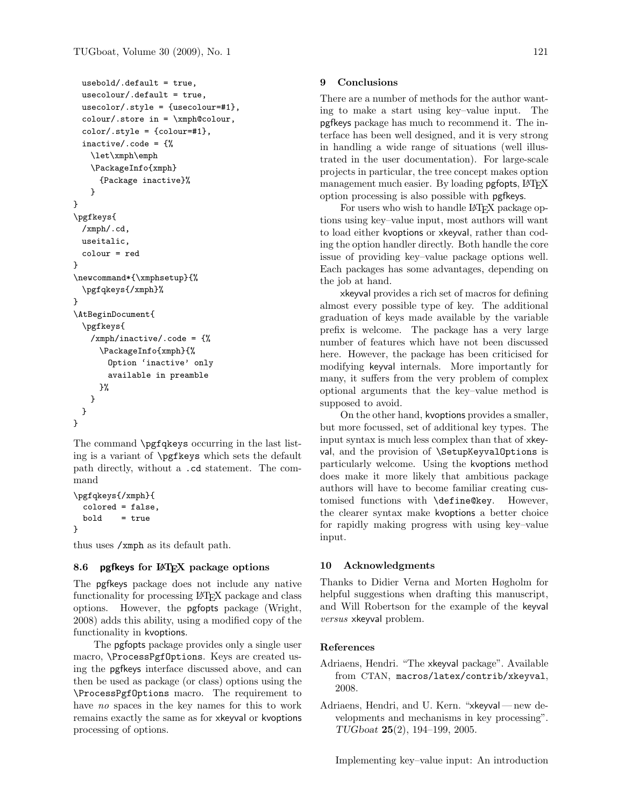```
usebold/.default = true,
 usecolour/.default = true,
 usecolor/.style = {usecolor=#1},\text{colour}/\text{store in} = \xmph@colorcolor[:#1],inactive/.code = {%
   \let\xmph\emph
   \PackageInfo{xmph}
     {Package inactive}%
   }
}
\pgfkeys{
 /xmph/.cd,
 useitalic,
 colour = red
}
\newcommand*{\xmphsetup}{%
 \pgfqkeys{/xmph}%
}
\AtBeginDocument{
 \pgfkeys{
   /xmph/inactive/.code = {%
     \PackageInfo{xmph}{%
       Option 'inactive' only
       available in preamble
     }%
   }
 }
}
```
The command \pgfqkeys occurring in the last listing is a variant of \pgfkeys which sets the default path directly, without a .cd statement. The command

```
\pgfqkeys{/xmph}{
 colored = false,
 bold = true}
```
thus uses /xmph as its default path.

# <span id="page-11-2"></span>8.6 pgfkeys for LAT<sub>EX</sub> package options

The pgfkeys package does not include any native functionality for processing LATEX package and class options. However, the pgfopts package [\(Wright,](#page-12-4) [2008\)](#page-12-4) adds this ability, using a modified copy of the functionality in kvoptions.

The pgfopts package provides only a single user macro, \ProcessPgfOptions. Keys are created using the pgfkeys interface discussed above, and can then be used as package (or class) options using the \ProcessPgfOptions macro. The requirement to have no spaces in the key names for this to work remains exactly the same as for xkeyval or kvoptions processing of options.

# 9 Conclusions

There are a number of methods for the author wanting to make a start using key–value input. The pgfkeys package has much to recommend it. The interface has been well designed, and it is very strong in handling a wide range of situations (well illustrated in the user documentation). For large-scale projects in particular, the tree concept makes option management much easier. By loading pgfopts, L<sup>AT</sup>EX option processing is also possible with pgfkeys.

For users who wish to handle LAT<sub>F</sub>X package options using key–value input, most authors will want to load either kvoptions or xkeyval, rather than coding the option handler directly. Both handle the core issue of providing key–value package options well. Each packages has some advantages, depending on the job at hand.

xkeyval provides a rich set of macros for defining almost every possible type of key. The additional graduation of keys made available by the variable prefix is welcome. The package has a very large number of features which have not been discussed here. However, the package has been criticised for modifying keyval internals. More importantly for many, it suffers from the very problem of complex optional arguments that the key–value method is supposed to avoid.

On the other hand, kvoptions provides a smaller, but more focussed, set of additional key types. The input syntax is much less complex than that of xkeyval, and the provision of \SetupKeyvalOptions is particularly welcome. Using the kvoptions method does make it more likely that ambitious package authors will have to become familiar creating customised functions with \define@key. However, the clearer syntax make kvoptions a better choice for rapidly making progress with using key–value input.

### 10 Acknowledgments

Thanks to Didier Verna and Morten Høgholm for helpful suggestions when drafting this manuscript, and Will Robertson for the example of the keyval versus xkeyval problem.

#### References

- <span id="page-11-0"></span>Adriaens, Hendri. "The xkeyval package". Available from CTAN, [macros/latex/contrib/xkeyval](http://mirror.ctan.org/macros/latex/contrib/xkeyval), 2008.
- <span id="page-11-1"></span>Adriaens, Hendri, and U. Kern. "xkeyval — new developments and mechanisms in key processing". TUGboat 25(2), 194–199, 2005.